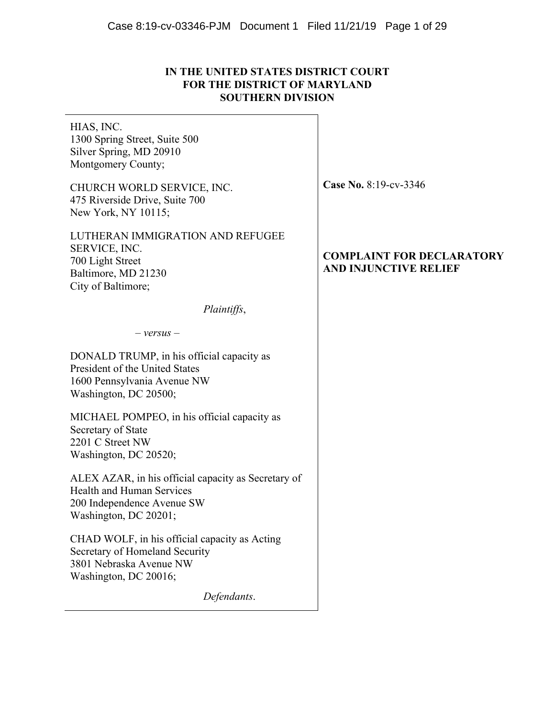# **IN THE UNITED STATES DISTRICT COURT FOR THE DISTRICT OF MARYLAND SOUTHERN DIVISION**

HIAS, INC. 1300 Spring Street, Suite 500 Silver Spring, MD 20910 Montgomery County;

CHURCH WORLD SERVICE, INC. 475 Riverside Drive, Suite 700 New York, NY 10115;

LUTHERAN IMMIGRATION AND REFUGEE SERVICE, INC. 700 Light Street Baltimore, MD 21230 City of Baltimore;

*Plaintiffs*,

– *versus* –

DONALD TRUMP, in his official capacity as President of the United States 1600 Pennsylvania Avenue NW Washington, DC 20500;

MICHAEL POMPEO, in his official capacity as Secretary of State 2201 C Street NW Washington, DC 20520;

ALEX AZAR, in his official capacity as Secretary of Health and Human Services 200 Independence Avenue SW Washington, DC 20201;

CHAD WOLF, in his official capacity as Acting Secretary of Homeland Security 3801 Nebraska Avenue NW Washington, DC 20016;

*Defendants*.

**Case No.** 8:19-cv-3346

# **COMPLAINT FOR DECLARATORY AND INJUNCTIVE RELIEF**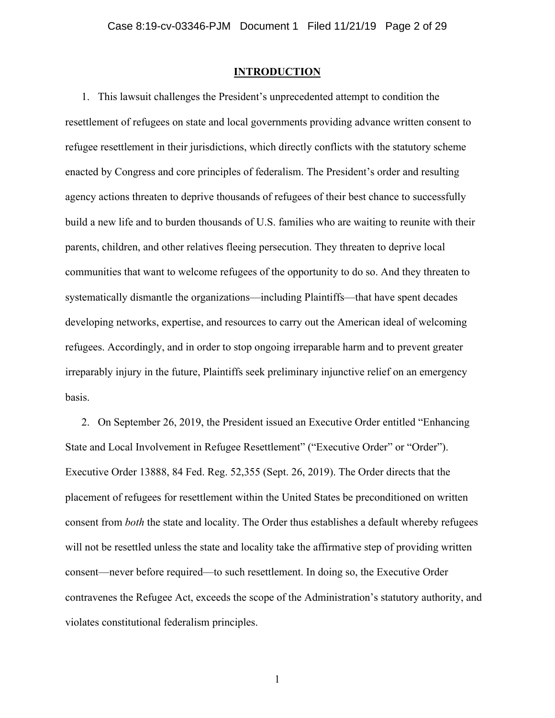### **INTRODUCTION**

1. This lawsuit challenges the President's unprecedented attempt to condition the resettlement of refugees on state and local governments providing advance written consent to refugee resettlement in their jurisdictions, which directly conflicts with the statutory scheme enacted by Congress and core principles of federalism. The President's order and resulting agency actions threaten to deprive thousands of refugees of their best chance to successfully build a new life and to burden thousands of U.S. families who are waiting to reunite with their parents, children, and other relatives fleeing persecution. They threaten to deprive local communities that want to welcome refugees of the opportunity to do so. And they threaten to systematically dismantle the organizations—including Plaintiffs—that have spent decades developing networks, expertise, and resources to carry out the American ideal of welcoming refugees. Accordingly, and in order to stop ongoing irreparable harm and to prevent greater irreparably injury in the future, Plaintiffs seek preliminary injunctive relief on an emergency basis.

2. On September 26, 2019, the President issued an Executive Order entitled "Enhancing State and Local Involvement in Refugee Resettlement" ("Executive Order" or "Order"). Executive Order 13888, 84 Fed. Reg. 52,355 (Sept. 26, 2019). The Order directs that the placement of refugees for resettlement within the United States be preconditioned on written consent from *both* the state and locality. The Order thus establishes a default whereby refugees will not be resettled unless the state and locality take the affirmative step of providing written consent—never before required—to such resettlement. In doing so, the Executive Order contravenes the Refugee Act, exceeds the scope of the Administration's statutory authority, and violates constitutional federalism principles.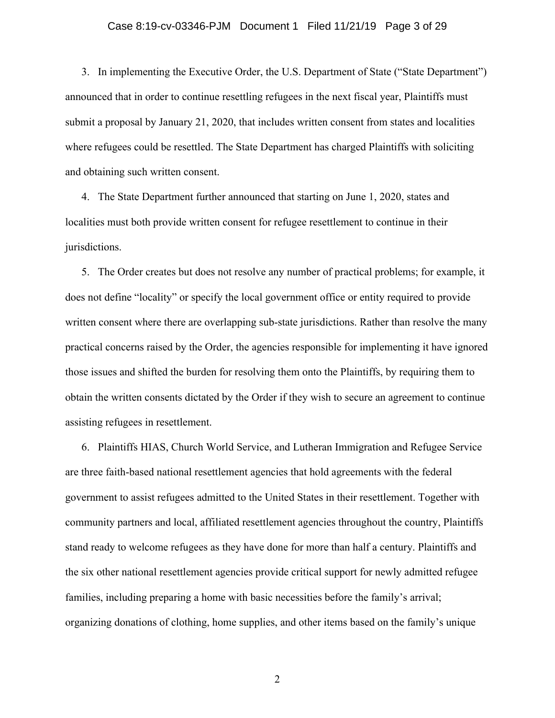### Case 8:19-cv-03346-PJM Document 1 Filed 11/21/19 Page 3 of 29

3. In implementing the Executive Order, the U.S. Department of State ("State Department") announced that in order to continue resettling refugees in the next fiscal year, Plaintiffs must submit a proposal by January 21, 2020, that includes written consent from states and localities where refugees could be resettled. The State Department has charged Plaintiffs with soliciting and obtaining such written consent.

4. The State Department further announced that starting on June 1, 2020, states and localities must both provide written consent for refugee resettlement to continue in their jurisdictions.

5. The Order creates but does not resolve any number of practical problems; for example, it does not define "locality" or specify the local government office or entity required to provide written consent where there are overlapping sub-state jurisdictions. Rather than resolve the many practical concerns raised by the Order, the agencies responsible for implementing it have ignored those issues and shifted the burden for resolving them onto the Plaintiffs, by requiring them to obtain the written consents dictated by the Order if they wish to secure an agreement to continue assisting refugees in resettlement.

6. Plaintiffs HIAS, Church World Service, and Lutheran Immigration and Refugee Service are three faith-based national resettlement agencies that hold agreements with the federal government to assist refugees admitted to the United States in their resettlement. Together with community partners and local, affiliated resettlement agencies throughout the country, Plaintiffs stand ready to welcome refugees as they have done for more than half a century. Plaintiffs and the six other national resettlement agencies provide critical support for newly admitted refugee families, including preparing a home with basic necessities before the family's arrival; organizing donations of clothing, home supplies, and other items based on the family's unique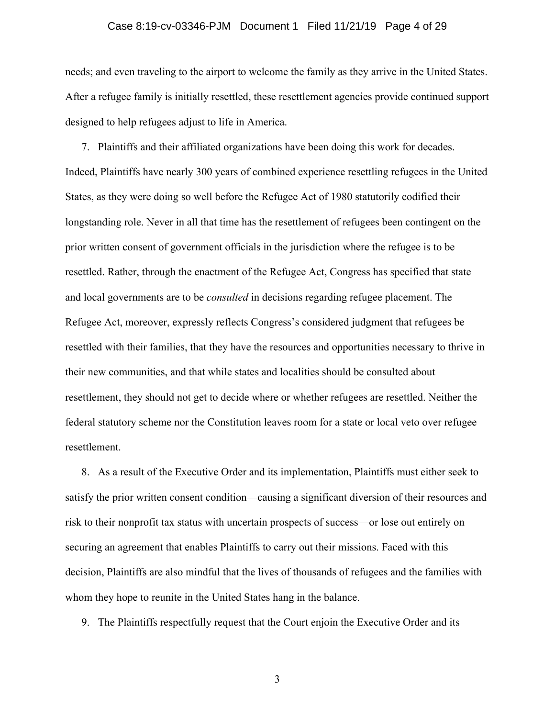### Case 8:19-cv-03346-PJM Document 1 Filed 11/21/19 Page 4 of 29

needs; and even traveling to the airport to welcome the family as they arrive in the United States. After a refugee family is initially resettled, these resettlement agencies provide continued support designed to help refugees adjust to life in America.

7. Plaintiffs and their affiliated organizations have been doing this work for decades. Indeed, Plaintiffs have nearly 300 years of combined experience resettling refugees in the United States, as they were doing so well before the Refugee Act of 1980 statutorily codified their longstanding role. Never in all that time has the resettlement of refugees been contingent on the prior written consent of government officials in the jurisdiction where the refugee is to be resettled. Rather, through the enactment of the Refugee Act, Congress has specified that state and local governments are to be *consulted* in decisions regarding refugee placement. The Refugee Act, moreover, expressly reflects Congress's considered judgment that refugees be resettled with their families, that they have the resources and opportunities necessary to thrive in their new communities, and that while states and localities should be consulted about resettlement, they should not get to decide where or whether refugees are resettled. Neither the federal statutory scheme nor the Constitution leaves room for a state or local veto over refugee resettlement.

8. As a result of the Executive Order and its implementation, Plaintiffs must either seek to satisfy the prior written consent condition—causing a significant diversion of their resources and risk to their nonprofit tax status with uncertain prospects of success—or lose out entirely on securing an agreement that enables Plaintiffs to carry out their missions. Faced with this decision, Plaintiffs are also mindful that the lives of thousands of refugees and the families with whom they hope to reunite in the United States hang in the balance.

9. The Plaintiffs respectfully request that the Court enjoin the Executive Order and its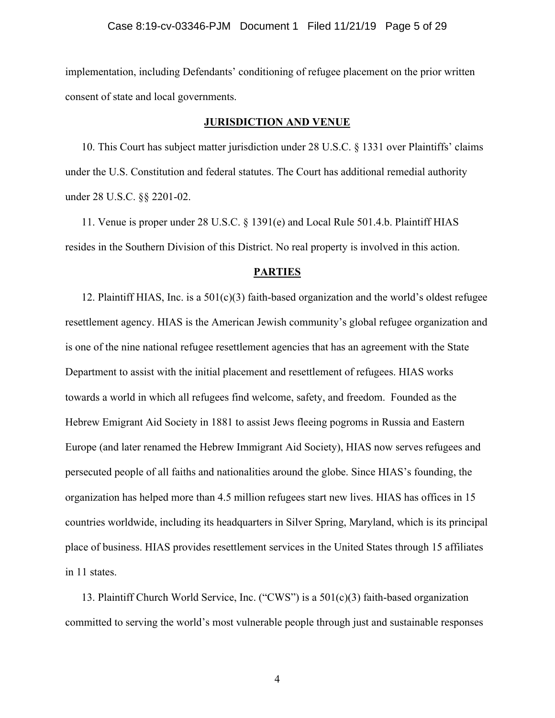implementation, including Defendants' conditioning of refugee placement on the prior written consent of state and local governments.

### **JURISDICTION AND VENUE**

10. This Court has subject matter jurisdiction under 28 U.S.C. § 1331 over Plaintiffs' claims under the U.S. Constitution and federal statutes. The Court has additional remedial authority under 28 U.S.C. §§ 2201-02.

11. Venue is proper under 28 U.S.C. § 1391(e) and Local Rule 501.4.b. Plaintiff HIAS resides in the Southern Division of this District. No real property is involved in this action.

### **PARTIES**

12. Plaintiff HIAS, Inc. is a 501(c)(3) faith-based organization and the world's oldest refugee resettlement agency. HIAS is the American Jewish community's global refugee organization and is one of the nine national refugee resettlement agencies that has an agreement with the State Department to assist with the initial placement and resettlement of refugees. HIAS works towards a world in which all refugees find welcome, safety, and freedom. Founded as the Hebrew Emigrant Aid Society in 1881 to assist Jews fleeing pogroms in Russia and Eastern Europe (and later renamed the Hebrew Immigrant Aid Society), HIAS now serves refugees and persecuted people of all faiths and nationalities around the globe. Since HIAS's founding, the organization has helped more than 4.5 million refugees start new lives. HIAS has offices in 15 countries worldwide, including its headquarters in Silver Spring, Maryland, which is its principal place of business. HIAS provides resettlement services in the United States through 15 affiliates in 11 states.

13. Plaintiff Church World Service, Inc. ("CWS") is a 501(c)(3) faith-based organization committed to serving the world's most vulnerable people through just and sustainable responses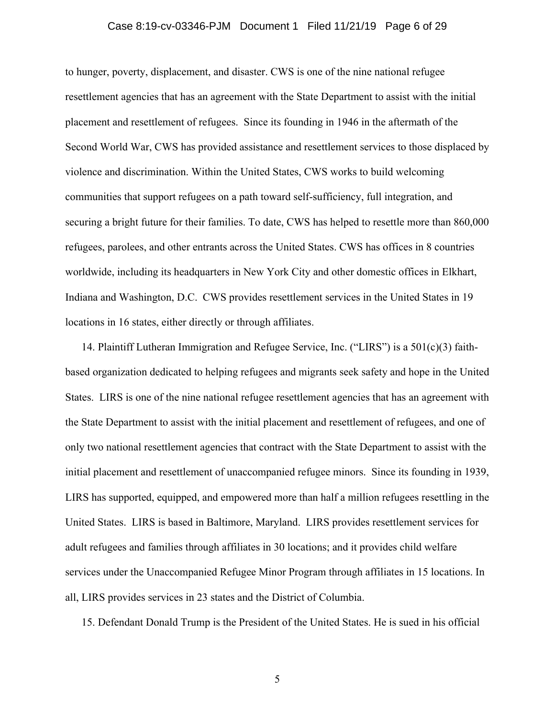### Case 8:19-cv-03346-PJM Document 1 Filed 11/21/19 Page 6 of 29

to hunger, poverty, displacement, and disaster. CWS is one of the nine national refugee resettlement agencies that has an agreement with the State Department to assist with the initial placement and resettlement of refugees. Since its founding in 1946 in the aftermath of the Second World War, CWS has provided assistance and resettlement services to those displaced by violence and discrimination. Within the United States, CWS works to build welcoming communities that support refugees on a path toward self-sufficiency, full integration, and securing a bright future for their families. To date, CWS has helped to resettle more than 860,000 refugees, parolees, and other entrants across the United States. CWS has offices in 8 countries worldwide, including its headquarters in New York City and other domestic offices in Elkhart, Indiana and Washington, D.C. CWS provides resettlement services in the United States in 19 locations in 16 states, either directly or through affiliates.

14. Plaintiff Lutheran Immigration and Refugee Service, Inc. ("LIRS") is a 501(c)(3) faithbased organization dedicated to helping refugees and migrants seek safety and hope in the United States. LIRS is one of the nine national refugee resettlement agencies that has an agreement with the State Department to assist with the initial placement and resettlement of refugees, and one of only two national resettlement agencies that contract with the State Department to assist with the initial placement and resettlement of unaccompanied refugee minors. Since its founding in 1939, LIRS has supported, equipped, and empowered more than half a million refugees resettling in the United States. LIRS is based in Baltimore, Maryland. LIRS provides resettlement services for adult refugees and families through affiliates in 30 locations; and it provides child welfare services under the Unaccompanied Refugee Minor Program through affiliates in 15 locations. In all, LIRS provides services in 23 states and the District of Columbia.

15. Defendant Donald Trump is the President of the United States. He is sued in his official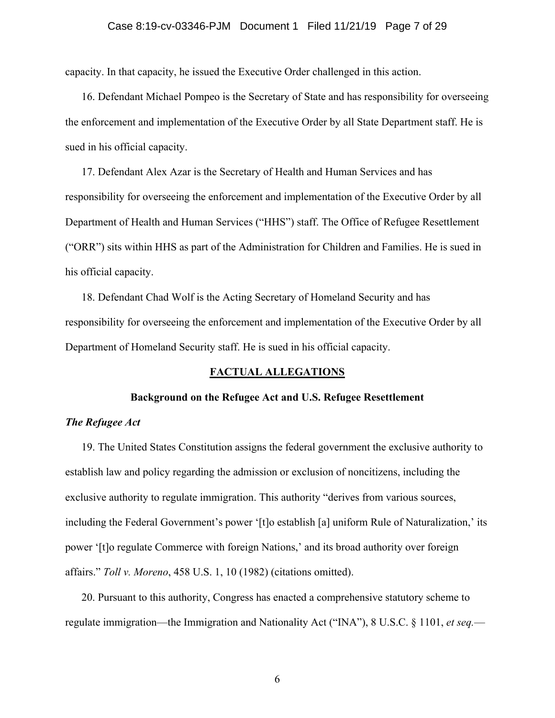### Case 8:19-cv-03346-PJM Document 1 Filed 11/21/19 Page 7 of 29

capacity. In that capacity, he issued the Executive Order challenged in this action.

16. Defendant Michael Pompeo is the Secretary of State and has responsibility for overseeing the enforcement and implementation of the Executive Order by all State Department staff. He is sued in his official capacity.

17. Defendant Alex Azar is the Secretary of Health and Human Services and has responsibility for overseeing the enforcement and implementation of the Executive Order by all Department of Health and Human Services ("HHS") staff. The Office of Refugee Resettlement ("ORR") sits within HHS as part of the Administration for Children and Families. He is sued in his official capacity.

18. Defendant Chad Wolf is the Acting Secretary of Homeland Security and has responsibility for overseeing the enforcement and implementation of the Executive Order by all Department of Homeland Security staff. He is sued in his official capacity.

### **FACTUAL ALLEGATIONS**

#### **Background on the Refugee Act and U.S. Refugee Resettlement**

### *The Refugee Act*

19. The United States Constitution assigns the federal government the exclusive authority to establish law and policy regarding the admission or exclusion of noncitizens, including the exclusive authority to regulate immigration. This authority "derives from various sources, including the Federal Government's power '[t]o establish [a] uniform Rule of Naturalization,' its power '[t]o regulate Commerce with foreign Nations,' and its broad authority over foreign affairs." *Toll v. Moreno*, 458 U.S. 1, 10 (1982) (citations omitted).

20. Pursuant to this authority, Congress has enacted a comprehensive statutory scheme to regulate immigration—the Immigration and Nationality Act ("INA"), 8 U.S.C. § 1101, *et seq.*—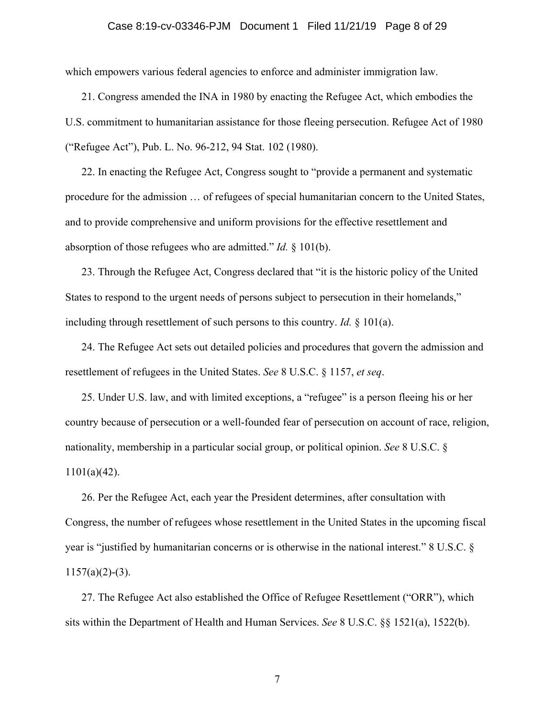### Case 8:19-cv-03346-PJM Document 1 Filed 11/21/19 Page 8 of 29

which empowers various federal agencies to enforce and administer immigration law.

21. Congress amended the INA in 1980 by enacting the Refugee Act, which embodies the U.S. commitment to humanitarian assistance for those fleeing persecution. Refugee Act of 1980 ("Refugee Act"), Pub. L. No. 96-212, 94 Stat. 102 (1980).

22. In enacting the Refugee Act, Congress sought to "provide a permanent and systematic procedure for the admission … of refugees of special humanitarian concern to the United States, and to provide comprehensive and uniform provisions for the effective resettlement and absorption of those refugees who are admitted." *Id.* § 101(b).

23. Through the Refugee Act, Congress declared that "it is the historic policy of the United States to respond to the urgent needs of persons subject to persecution in their homelands," including through resettlement of such persons to this country. *Id.* § 101(a).

24. The Refugee Act sets out detailed policies and procedures that govern the admission and resettlement of refugees in the United States. *See* 8 U.S.C. § 1157, *et seq*.

25. Under U.S. law, and with limited exceptions, a "refugee" is a person fleeing his or her country because of persecution or a well-founded fear of persecution on account of race, religion, nationality, membership in a particular social group, or political opinion. *See* 8 U.S.C. § 1101(a)(42).

26. Per the Refugee Act, each year the President determines, after consultation with Congress, the number of refugees whose resettlement in the United States in the upcoming fiscal year is "justified by humanitarian concerns or is otherwise in the national interest." 8 U.S.C. §  $1157(a)(2)-(3)$ .

27. The Refugee Act also established the Office of Refugee Resettlement ("ORR"), which sits within the Department of Health and Human Services. *See* 8 U.S.C. §§ 1521(a), 1522(b).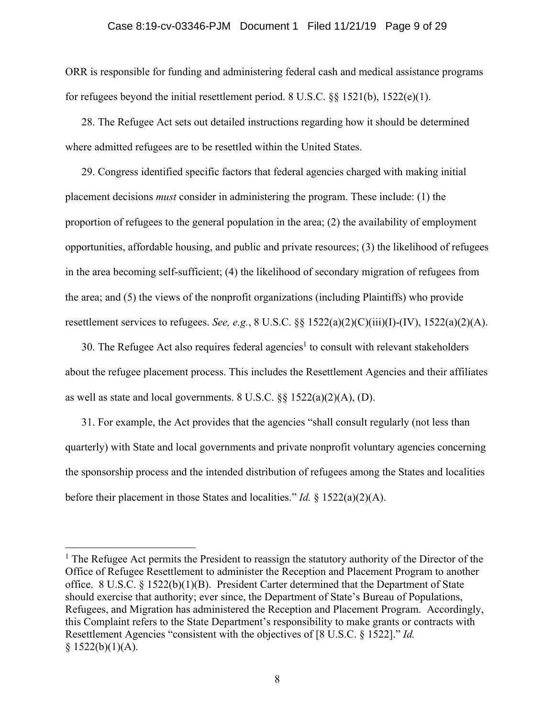### Case 8:19-cv-03346-PJM Document 1 Filed 11/21/19 Page 9 of 29

ORR is responsible for funding and administering federal cash and medical assistance programs for refugees beyond the initial resettlement period. 8 U.S.C. §§ 1521(b), 1522(e)(1).

28. The Refugee Act sets out detailed instructions regarding how it should be determined where admitted refugees are to be resettled within the United States.

29. Congress identified specific factors that federal agencies charged with making initial placement decisions *must* consider in administering the program. These include: (1) the proportion of refugees to the general population in the area; (2) the availability of employment opportunities, affordable housing, and public and private resources; (3) the likelihood of refugees in the area becoming self-sufficient; (4) the likelihood of secondary migration of refugees from the area; and (5) the views of the nonprofit organizations (including Plaintiffs) who provide resettlement services to refugees. *See, e.g.*, 8 U.S.C. §§ 1522(a)(2)(C)(iii)(I)-(IV), 1522(a)(2)(A).

30. The Refugee Act also requires federal agencies<sup>1</sup> to consult with relevant stakeholders about the refugee placement process. This includes the Resettlement Agencies and their affiliates as well as state and local governments.  $8 \text{ U.S.C. }$   $\S\S 1522(a)(2)(A), (D)$ .

31. For example, the Act provides that the agencies "shall consult regularly (not less than quarterly) with State and local governments and private nonprofit voluntary agencies concerning the sponsorship process and the intended distribution of refugees among the States and localities before their placement in those States and localities." *Id.* § 1522(a)(2)(A).

<sup>&</sup>lt;sup>1</sup> The Refugee Act permits the President to reassign the statutory authority of the Director of the Office of Refugee Resettlement to administer the Reception and Placement Program to another office. 8 U.S.C. § 1522(b)(1)(B). President Carter determined that the Department of State should exercise that authority; ever since, the Department of State's Bureau of Populations, Refugees, and Migration has administered the Reception and Placement Program. Accordingly, this Complaint refers to the State Department's responsibility to make grants or contracts with Resettlement Agencies "consistent with the objectives of [8 U.S.C. § 1522]." *Id.*  $§ 1522(b)(1)(A).$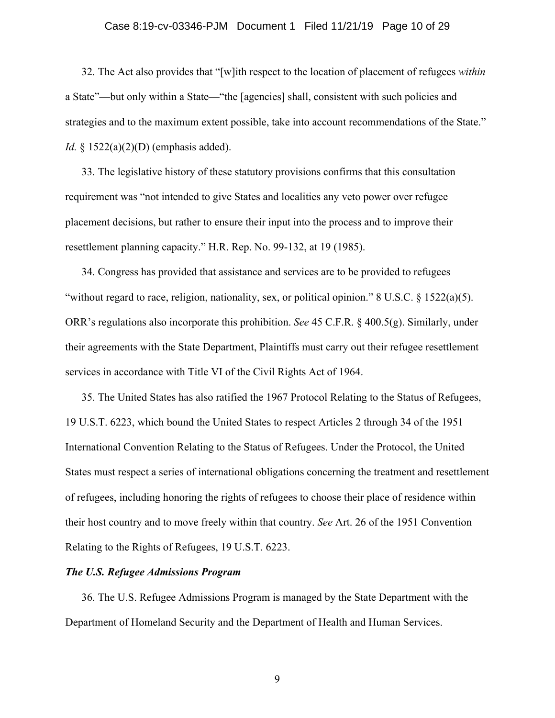### Case 8:19-cv-03346-PJM Document 1 Filed 11/21/19 Page 10 of 29

32. The Act also provides that "[w]ith respect to the location of placement of refugees *within* a State"—but only within a State—"the [agencies] shall, consistent with such policies and strategies and to the maximum extent possible, take into account recommendations of the State." *Id.* § 1522(a)(2)(D) (emphasis added).

33. The legislative history of these statutory provisions confirms that this consultation requirement was "not intended to give States and localities any veto power over refugee placement decisions, but rather to ensure their input into the process and to improve their resettlement planning capacity." H.R. Rep. No. 99-132, at 19 (1985).

34. Congress has provided that assistance and services are to be provided to refugees "without regard to race, religion, nationality, sex, or political opinion." 8 U.S.C.  $\S 1522(a)(5)$ . ORR's regulations also incorporate this prohibition. *See* 45 C.F.R. § 400.5(g). Similarly, under their agreements with the State Department, Plaintiffs must carry out their refugee resettlement services in accordance with Title VI of the Civil Rights Act of 1964.

35. The United States has also ratified the 1967 Protocol Relating to the Status of Refugees, 19 U.S.T. 6223, which bound the United States to respect Articles 2 through 34 of the 1951 International Convention Relating to the Status of Refugees. Under the Protocol, the United States must respect a series of international obligations concerning the treatment and resettlement of refugees, including honoring the rights of refugees to choose their place of residence within their host country and to move freely within that country. *See* Art. 26 of the 1951 Convention Relating to the Rights of Refugees, 19 U.S.T. 6223.

#### *The U.S. Refugee Admissions Program*

36. The U.S. Refugee Admissions Program is managed by the State Department with the Department of Homeland Security and the Department of Health and Human Services.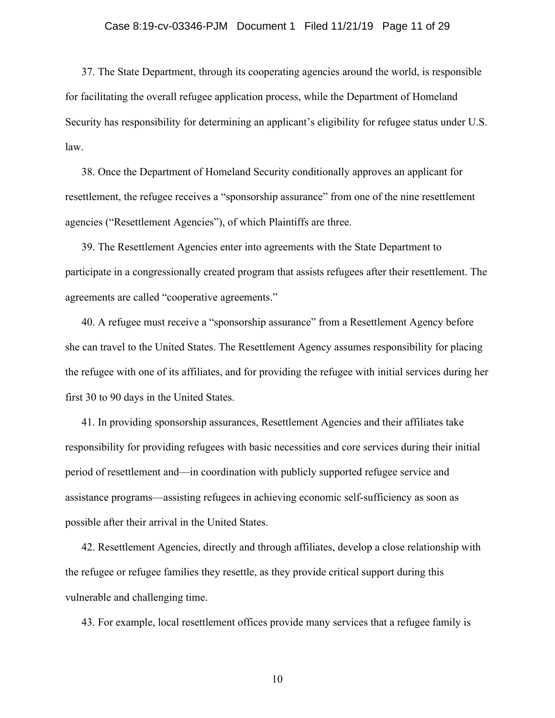### Case 8:19-cv-03346-PJM Document 1 Filed 11/21/19 Page 11 of 29

37. The State Department, through its cooperating agencies around the world, is responsible for facilitating the overall refugee application process, while the Department of Homeland Security has responsibility for determining an applicant's eligibility for refugee status under U.S. law.

38. Once the Department of Homeland Security conditionally approves an applicant for resettlement, the refugee receives a "sponsorship assurance" from one of the nine resettlement agencies ("Resettlement Agencies"), of which Plaintiffs are three.

39. The Resettlement Agencies enter into agreements with the State Department to participate in a congressionally created program that assists refugees after their resettlement. The agreements are called "cooperative agreements."

40. A refugee must receive a "sponsorship assurance" from a Resettlement Agency before she can travel to the United States. The Resettlement Agency assumes responsibility for placing the refugee with one of its affiliates, and for providing the refugee with initial services during her first 30 to 90 days in the United States.

41. In providing sponsorship assurances, Resettlement Agencies and their affiliates take responsibility for providing refugees with basic necessities and core services during their initial period of resettlement and—in coordination with publicly supported refugee service and assistance programs—assisting refugees in achieving economic self-sufficiency as soon as possible after their arrival in the United States.

42. Resettlement Agencies, directly and through affiliates, develop a close relationship with the refugee or refugee families they resettle, as they provide critical support during this vulnerable and challenging time.

43. For example, local resettlement offices provide many services that a refugee family is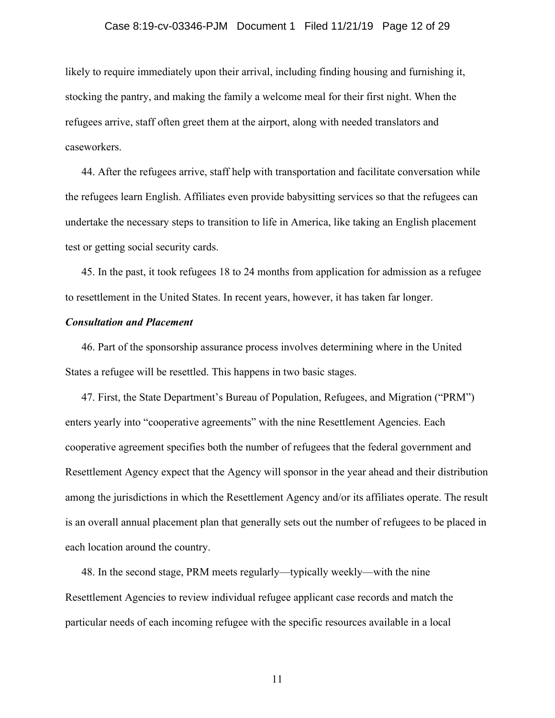### Case 8:19-cv-03346-PJM Document 1 Filed 11/21/19 Page 12 of 29

likely to require immediately upon their arrival, including finding housing and furnishing it, stocking the pantry, and making the family a welcome meal for their first night. When the refugees arrive, staff often greet them at the airport, along with needed translators and caseworkers.

44. After the refugees arrive, staff help with transportation and facilitate conversation while the refugees learn English. Affiliates even provide babysitting services so that the refugees can undertake the necessary steps to transition to life in America, like taking an English placement test or getting social security cards.

45. In the past, it took refugees 18 to 24 months from application for admission as a refugee to resettlement in the United States. In recent years, however, it has taken far longer.

### *Consultation and Placement*

46. Part of the sponsorship assurance process involves determining where in the United States a refugee will be resettled. This happens in two basic stages.

47. First, the State Department's Bureau of Population, Refugees, and Migration ("PRM") enters yearly into "cooperative agreements" with the nine Resettlement Agencies. Each cooperative agreement specifies both the number of refugees that the federal government and Resettlement Agency expect that the Agency will sponsor in the year ahead and their distribution among the jurisdictions in which the Resettlement Agency and/or its affiliates operate. The result is an overall annual placement plan that generally sets out the number of refugees to be placed in each location around the country.

48. In the second stage, PRM meets regularly—typically weekly—with the nine Resettlement Agencies to review individual refugee applicant case records and match the particular needs of each incoming refugee with the specific resources available in a local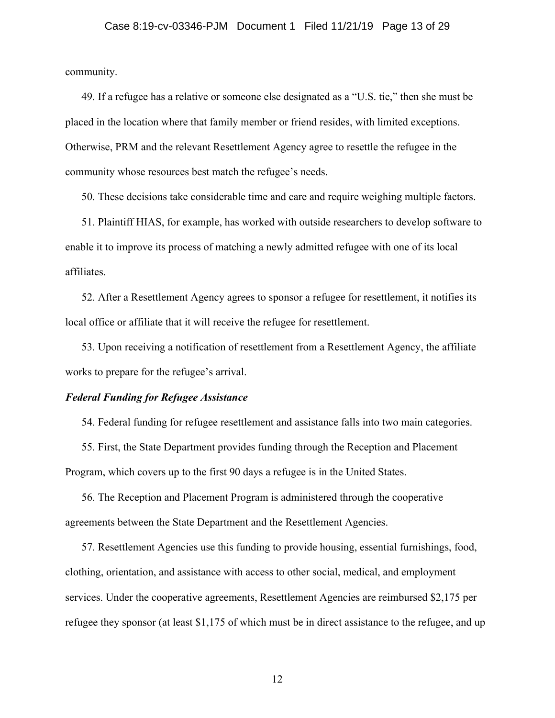community.

49. If a refugee has a relative or someone else designated as a "U.S. tie," then she must be placed in the location where that family member or friend resides, with limited exceptions. Otherwise, PRM and the relevant Resettlement Agency agree to resettle the refugee in the community whose resources best match the refugee's needs.

50. These decisions take considerable time and care and require weighing multiple factors.

51. Plaintiff HIAS, for example, has worked with outside researchers to develop software to enable it to improve its process of matching a newly admitted refugee with one of its local affiliates.

52. After a Resettlement Agency agrees to sponsor a refugee for resettlement, it notifies its local office or affiliate that it will receive the refugee for resettlement.

53. Upon receiving a notification of resettlement from a Resettlement Agency, the affiliate works to prepare for the refugee's arrival.

#### *Federal Funding for Refugee Assistance*

54. Federal funding for refugee resettlement and assistance falls into two main categories.

55. First, the State Department provides funding through the Reception and Placement Program, which covers up to the first 90 days a refugee is in the United States.

56. The Reception and Placement Program is administered through the cooperative agreements between the State Department and the Resettlement Agencies.

57. Resettlement Agencies use this funding to provide housing, essential furnishings, food, clothing, orientation, and assistance with access to other social, medical, and employment services. Under the cooperative agreements, Resettlement Agencies are reimbursed \$2,175 per refugee they sponsor (at least \$1,175 of which must be in direct assistance to the refugee, and up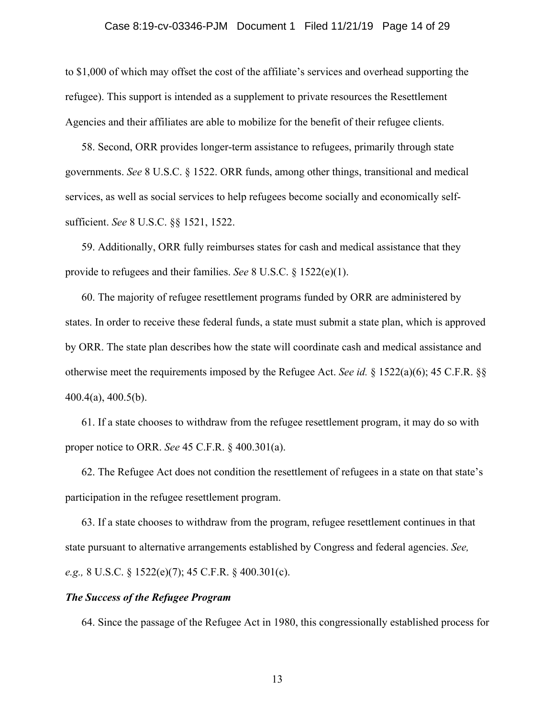### Case 8:19-cv-03346-PJM Document 1 Filed 11/21/19 Page 14 of 29

to \$1,000 of which may offset the cost of the affiliate's services and overhead supporting the refugee). This support is intended as a supplement to private resources the Resettlement Agencies and their affiliates are able to mobilize for the benefit of their refugee clients.

58. Second, ORR provides longer-term assistance to refugees, primarily through state governments. *See* 8 U.S.C. § 1522. ORR funds, among other things, transitional and medical services, as well as social services to help refugees become socially and economically selfsufficient. *See* 8 U.S.C. §§ 1521, 1522.

59. Additionally, ORR fully reimburses states for cash and medical assistance that they provide to refugees and their families. *See* 8 U.S.C. § 1522(e)(1).

60. The majority of refugee resettlement programs funded by ORR are administered by states. In order to receive these federal funds, a state must submit a state plan, which is approved by ORR. The state plan describes how the state will coordinate cash and medical assistance and otherwise meet the requirements imposed by the Refugee Act. *See id.* § 1522(a)(6); 45 C.F.R. §§ 400.4(a), 400.5(b).

61. If a state chooses to withdraw from the refugee resettlement program, it may do so with proper notice to ORR. *See* 45 C.F.R. § 400.301(a).

62. The Refugee Act does not condition the resettlement of refugees in a state on that state's participation in the refugee resettlement program.

63. If a state chooses to withdraw from the program, refugee resettlement continues in that state pursuant to alternative arrangements established by Congress and federal agencies. *See, e.g.,* 8 U.S.C. § 1522(e)(7); 45 C.F.R. § 400.301(c).

### *The Success of the Refugee Program*

64. Since the passage of the Refugee Act in 1980, this congressionally established process for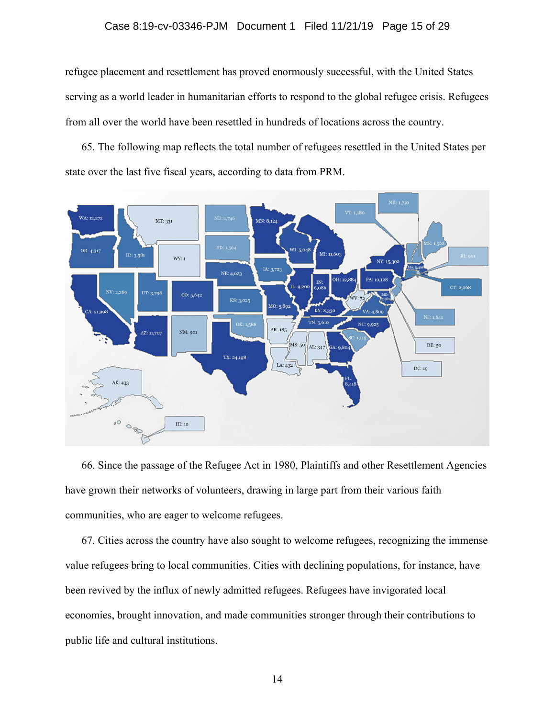### Case 8:19-cv-03346-PJM Document 1 Filed 11/21/19 Page 15 of 29

refugee placement and resettlement has proved enormously successful, with the United States serving as a world leader in humanitarian efforts to respond to the global refugee crisis. Refugees from all over the world have been resettled in hundreds of locations across the country.

65. The following map reflects the total number of refugees resettled in the United States per state over the last five fiscal years, according to data from PRM.



66. Since the passage of the Refugee Act in 1980, Plaintiffs and other Resettlement Agencies have grown their networks of volunteers, drawing in large part from their various faith communities, who are eager to welcome refugees.

67. Cities across the country have also sought to welcome refugees, recognizing the immense value refugees bring to local communities. Cities with declining populations, for instance, have been revived by the influx of newly admitted refugees. Refugees have invigorated local economies, brought innovation, and made communities stronger through their contributions to public life and cultural institutions.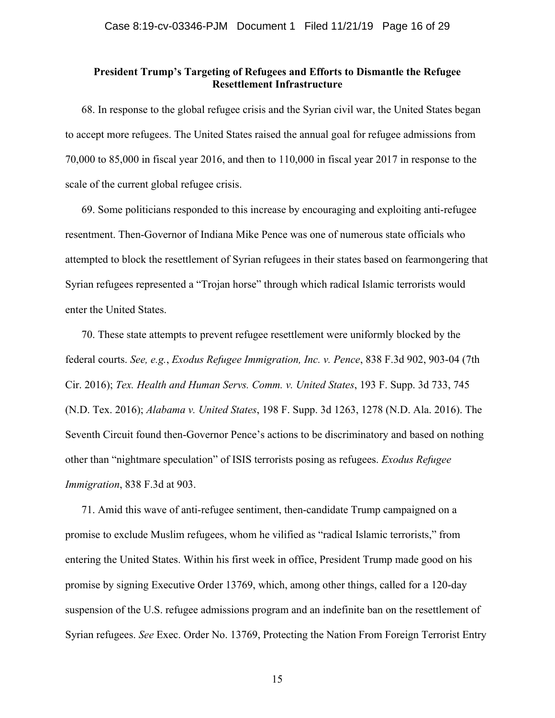### **President Trump's Targeting of Refugees and Efforts to Dismantle the Refugee Resettlement Infrastructure**

68. In response to the global refugee crisis and the Syrian civil war, the United States began to accept more refugees. The United States raised the annual goal for refugee admissions from 70,000 to 85,000 in fiscal year 2016, and then to 110,000 in fiscal year 2017 in response to the scale of the current global refugee crisis.

69. Some politicians responded to this increase by encouraging and exploiting anti-refugee resentment. Then-Governor of Indiana Mike Pence was one of numerous state officials who attempted to block the resettlement of Syrian refugees in their states based on fearmongering that Syrian refugees represented a "Trojan horse" through which radical Islamic terrorists would enter the United States.

70. These state attempts to prevent refugee resettlement were uniformly blocked by the federal courts. *See, e.g.*, *Exodus Refugee Immigration, Inc. v. Pence*, 838 F.3d 902, 903-04 (7th Cir. 2016); *Tex. Health and Human Servs. Comm. v. United States*, 193 F. Supp. 3d 733, 745 (N.D. Tex. 2016); *Alabama v. United States*, 198 F. Supp. 3d 1263, 1278 (N.D. Ala. 2016). The Seventh Circuit found then-Governor Pence's actions to be discriminatory and based on nothing other than "nightmare speculation" of ISIS terrorists posing as refugees. *Exodus Refugee Immigration*, 838 F.3d at 903.

71. Amid this wave of anti-refugee sentiment, then-candidate Trump campaigned on a promise to exclude Muslim refugees, whom he vilified as "radical Islamic terrorists," from entering the United States. Within his first week in office, President Trump made good on his promise by signing Executive Order 13769, which, among other things, called for a 120-day suspension of the U.S. refugee admissions program and an indefinite ban on the resettlement of Syrian refugees. *See* Exec. Order No. 13769, Protecting the Nation From Foreign Terrorist Entry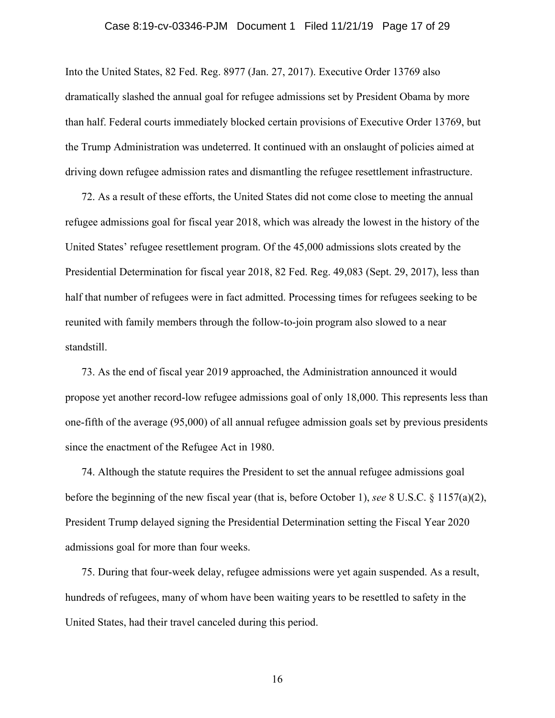### Case 8:19-cv-03346-PJM Document 1 Filed 11/21/19 Page 17 of 29

Into the United States, 82 Fed. Reg. 8977 (Jan. 27, 2017). Executive Order 13769 also dramatically slashed the annual goal for refugee admissions set by President Obama by more than half. Federal courts immediately blocked certain provisions of Executive Order 13769, but the Trump Administration was undeterred. It continued with an onslaught of policies aimed at driving down refugee admission rates and dismantling the refugee resettlement infrastructure.

72. As a result of these efforts, the United States did not come close to meeting the annual refugee admissions goal for fiscal year 2018, which was already the lowest in the history of the United States' refugee resettlement program. Of the 45,000 admissions slots created by the Presidential Determination for fiscal year 2018, 82 Fed. Reg. 49,083 (Sept. 29, 2017), less than half that number of refugees were in fact admitted. Processing times for refugees seeking to be reunited with family members through the follow-to-join program also slowed to a near standstill.

73. As the end of fiscal year 2019 approached, the Administration announced it would propose yet another record-low refugee admissions goal of only 18,000. This represents less than one-fifth of the average (95,000) of all annual refugee admission goals set by previous presidents since the enactment of the Refugee Act in 1980.

74. Although the statute requires the President to set the annual refugee admissions goal before the beginning of the new fiscal year (that is, before October 1), *see* 8 U.S.C. § 1157(a)(2), President Trump delayed signing the Presidential Determination setting the Fiscal Year 2020 admissions goal for more than four weeks.

75. During that four-week delay, refugee admissions were yet again suspended. As a result, hundreds of refugees, many of whom have been waiting years to be resettled to safety in the United States, had their travel canceled during this period.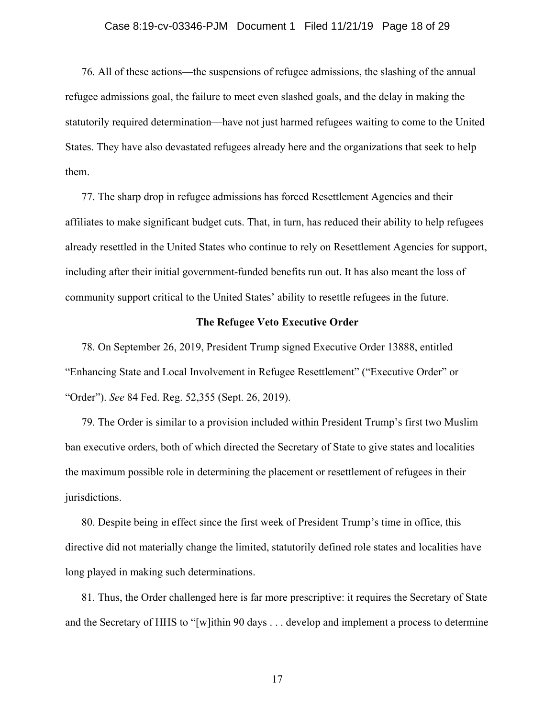### Case 8:19-cv-03346-PJM Document 1 Filed 11/21/19 Page 18 of 29

76. All of these actions—the suspensions of refugee admissions, the slashing of the annual refugee admissions goal, the failure to meet even slashed goals, and the delay in making the statutorily required determination—have not just harmed refugees waiting to come to the United States. They have also devastated refugees already here and the organizations that seek to help them.

77. The sharp drop in refugee admissions has forced Resettlement Agencies and their affiliates to make significant budget cuts. That, in turn, has reduced their ability to help refugees already resettled in the United States who continue to rely on Resettlement Agencies for support, including after their initial government-funded benefits run out. It has also meant the loss of community support critical to the United States' ability to resettle refugees in the future.

#### **The Refugee Veto Executive Order**

78. On September 26, 2019, President Trump signed Executive Order 13888, entitled "Enhancing State and Local Involvement in Refugee Resettlement" ("Executive Order" or "Order"). *See* 84 Fed. Reg. 52,355 (Sept. 26, 2019).

79. The Order is similar to a provision included within President Trump's first two Muslim ban executive orders, both of which directed the Secretary of State to give states and localities the maximum possible role in determining the placement or resettlement of refugees in their jurisdictions.

80. Despite being in effect since the first week of President Trump's time in office, this directive did not materially change the limited, statutorily defined role states and localities have long played in making such determinations.

81. Thus, the Order challenged here is far more prescriptive: it requires the Secretary of State and the Secretary of HHS to "[w]ithin 90 days . . . develop and implement a process to determine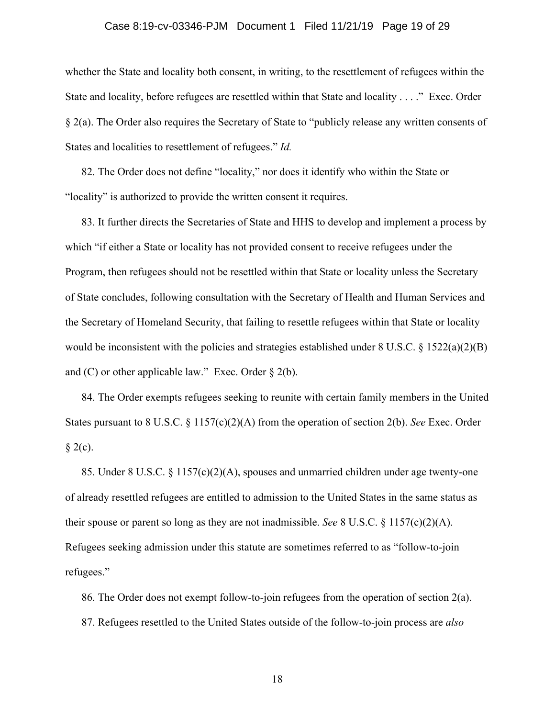### Case 8:19-cv-03346-PJM Document 1 Filed 11/21/19 Page 19 of 29

whether the State and locality both consent, in writing, to the resettlement of refugees within the State and locality, before refugees are resettled within that State and locality . . . ." Exec. Order § 2(a). The Order also requires the Secretary of State to "publicly release any written consents of States and localities to resettlement of refugees." *Id.*

82. The Order does not define "locality," nor does it identify who within the State or "locality" is authorized to provide the written consent it requires.

83. It further directs the Secretaries of State and HHS to develop and implement a process by which "if either a State or locality has not provided consent to receive refugees under the Program, then refugees should not be resettled within that State or locality unless the Secretary of State concludes, following consultation with the Secretary of Health and Human Services and the Secretary of Homeland Security, that failing to resettle refugees within that State or locality would be inconsistent with the policies and strategies established under  $8 \text{ U.S.C.} \& 1522(a)(2)(B)$ and (C) or other applicable law." Exec. Order  $\S 2(b)$ .

84. The Order exempts refugees seeking to reunite with certain family members in the United States pursuant to 8 U.S.C. § 1157(c)(2)(A) from the operation of section 2(b). *See* Exec. Order  $§$  2(c).

85. Under 8 U.S.C. § 1157(c)(2)(A), spouses and unmarried children under age twenty-one of already resettled refugees are entitled to admission to the United States in the same status as their spouse or parent so long as they are not inadmissible. *See* 8 U.S.C.  $\S$  1157(c)(2)(A). Refugees seeking admission under this statute are sometimes referred to as "follow-to-join refugees."

86. The Order does not exempt follow-to-join refugees from the operation of section 2(a). 87. Refugees resettled to the United States outside of the follow-to-join process are *also*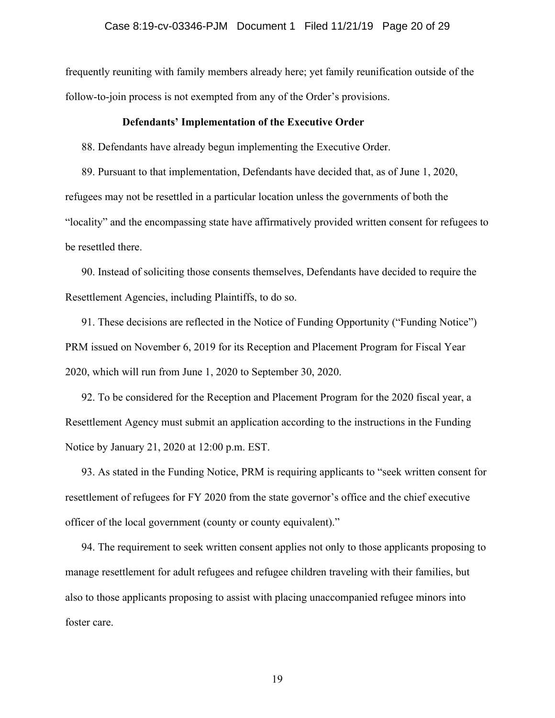frequently reuniting with family members already here; yet family reunification outside of the follow-to-join process is not exempted from any of the Order's provisions.

### **Defendants' Implementation of the Executive Order**

88. Defendants have already begun implementing the Executive Order.

89. Pursuant to that implementation, Defendants have decided that, as of June 1, 2020, refugees may not be resettled in a particular location unless the governments of both the "locality" and the encompassing state have affirmatively provided written consent for refugees to be resettled there.

90. Instead of soliciting those consents themselves, Defendants have decided to require the Resettlement Agencies, including Plaintiffs, to do so.

91. These decisions are reflected in the Notice of Funding Opportunity ("Funding Notice") PRM issued on November 6, 2019 for its Reception and Placement Program for Fiscal Year 2020, which will run from June 1, 2020 to September 30, 2020.

92. To be considered for the Reception and Placement Program for the 2020 fiscal year, a Resettlement Agency must submit an application according to the instructions in the Funding Notice by January 21, 2020 at 12:00 p.m. EST.

93. As stated in the Funding Notice, PRM is requiring applicants to "seek written consent for resettlement of refugees for FY 2020 from the state governor's office and the chief executive officer of the local government (county or county equivalent)."

94. The requirement to seek written consent applies not only to those applicants proposing to manage resettlement for adult refugees and refugee children traveling with their families, but also to those applicants proposing to assist with placing unaccompanied refugee minors into foster care.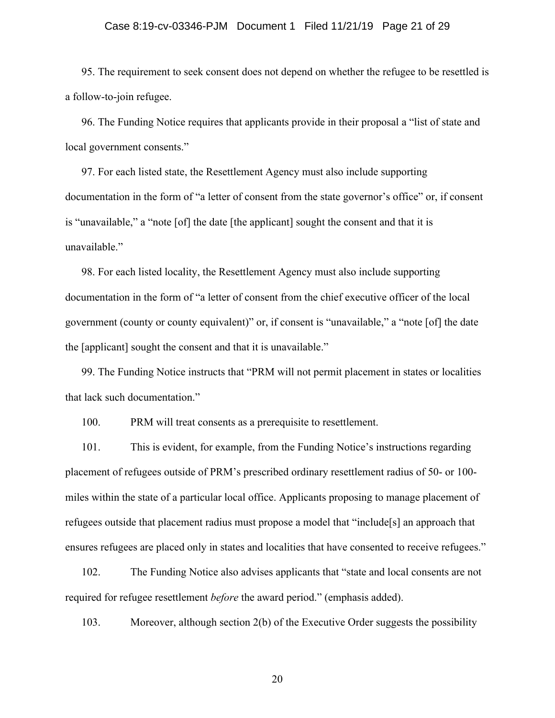#### Case 8:19-cv-03346-PJM Document 1 Filed 11/21/19 Page 21 of 29

95. The requirement to seek consent does not depend on whether the refugee to be resettled is a follow-to-join refugee.

96. The Funding Notice requires that applicants provide in their proposal a "list of state and local government consents."

97. For each listed state, the Resettlement Agency must also include supporting documentation in the form of "a letter of consent from the state governor's office" or, if consent is "unavailable," a "note [of] the date [the applicant] sought the consent and that it is unavailable."

98. For each listed locality, the Resettlement Agency must also include supporting documentation in the form of "a letter of consent from the chief executive officer of the local government (county or county equivalent)" or, if consent is "unavailable," a "note [of] the date the [applicant] sought the consent and that it is unavailable."

99. The Funding Notice instructs that "PRM will not permit placement in states or localities that lack such documentation."

100. PRM will treat consents as a prerequisite to resettlement.

101. This is evident, for example, from the Funding Notice's instructions regarding placement of refugees outside of PRM's prescribed ordinary resettlement radius of 50- or 100 miles within the state of a particular local office. Applicants proposing to manage placement of refugees outside that placement radius must propose a model that "include[s] an approach that ensures refugees are placed only in states and localities that have consented to receive refugees."

102. The Funding Notice also advises applicants that "state and local consents are not required for refugee resettlement *before* the award period." (emphasis added).

103. Moreover, although section 2(b) of the Executive Order suggests the possibility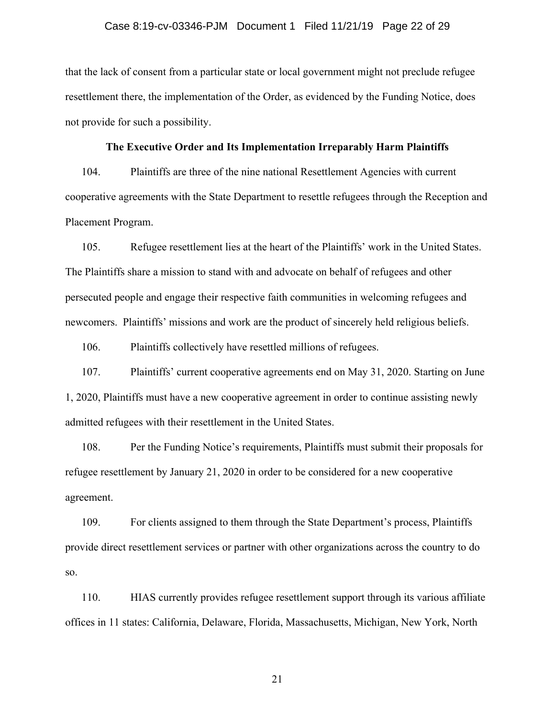### Case 8:19-cv-03346-PJM Document 1 Filed 11/21/19 Page 22 of 29

that the lack of consent from a particular state or local government might not preclude refugee resettlement there, the implementation of the Order, as evidenced by the Funding Notice, does not provide for such a possibility.

### **The Executive Order and Its Implementation Irreparably Harm Plaintiffs**

104. Plaintiffs are three of the nine national Resettlement Agencies with current cooperative agreements with the State Department to resettle refugees through the Reception and Placement Program.

105. Refugee resettlement lies at the heart of the Plaintiffs' work in the United States. The Plaintiffs share a mission to stand with and advocate on behalf of refugees and other persecuted people and engage their respective faith communities in welcoming refugees and newcomers. Plaintiffs' missions and work are the product of sincerely held religious beliefs.

106. Plaintiffs collectively have resettled millions of refugees.

107. Plaintiffs' current cooperative agreements end on May 31, 2020. Starting on June 1, 2020, Plaintiffs must have a new cooperative agreement in order to continue assisting newly admitted refugees with their resettlement in the United States.

108. Per the Funding Notice's requirements, Plaintiffs must submit their proposals for refugee resettlement by January 21, 2020 in order to be considered for a new cooperative agreement.

109. For clients assigned to them through the State Department's process, Plaintiffs provide direct resettlement services or partner with other organizations across the country to do so.

110. HIAS currently provides refugee resettlement support through its various affiliate offices in 11 states: California, Delaware, Florida, Massachusetts, Michigan, New York, North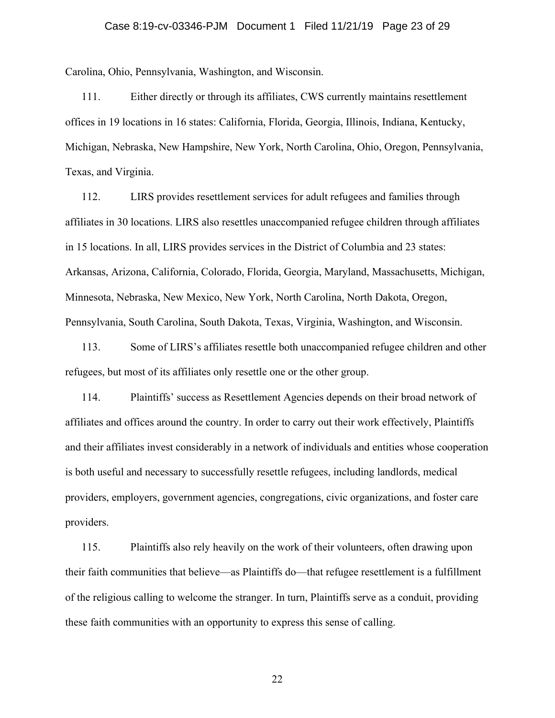Carolina, Ohio, Pennsylvania, Washington, and Wisconsin.

111. Either directly or through its affiliates, CWS currently maintains resettlement offices in 19 locations in 16 states: California, Florida, Georgia, Illinois, Indiana, Kentucky, Michigan, Nebraska, New Hampshire, New York, North Carolina, Ohio, Oregon, Pennsylvania, Texas, and Virginia.

112. LIRS provides resettlement services for adult refugees and families through affiliates in 30 locations. LIRS also resettles unaccompanied refugee children through affiliates in 15 locations. In all, LIRS provides services in the District of Columbia and 23 states: Arkansas, Arizona, California, Colorado, Florida, Georgia, Maryland, Massachusetts, Michigan, Minnesota, Nebraska, New Mexico, New York, North Carolina, North Dakota, Oregon, Pennsylvania, South Carolina, South Dakota, Texas, Virginia, Washington, and Wisconsin.

113. Some of LIRS's affiliates resettle both unaccompanied refugee children and other refugees, but most of its affiliates only resettle one or the other group.

114. Plaintiffs' success as Resettlement Agencies depends on their broad network of affiliates and offices around the country. In order to carry out their work effectively, Plaintiffs and their affiliates invest considerably in a network of individuals and entities whose cooperation is both useful and necessary to successfully resettle refugees, including landlords, medical providers, employers, government agencies, congregations, civic organizations, and foster care providers.

115. Plaintiffs also rely heavily on the work of their volunteers, often drawing upon their faith communities that believe—as Plaintiffs do—that refugee resettlement is a fulfillment of the religious calling to welcome the stranger. In turn, Plaintiffs serve as a conduit, providing these faith communities with an opportunity to express this sense of calling.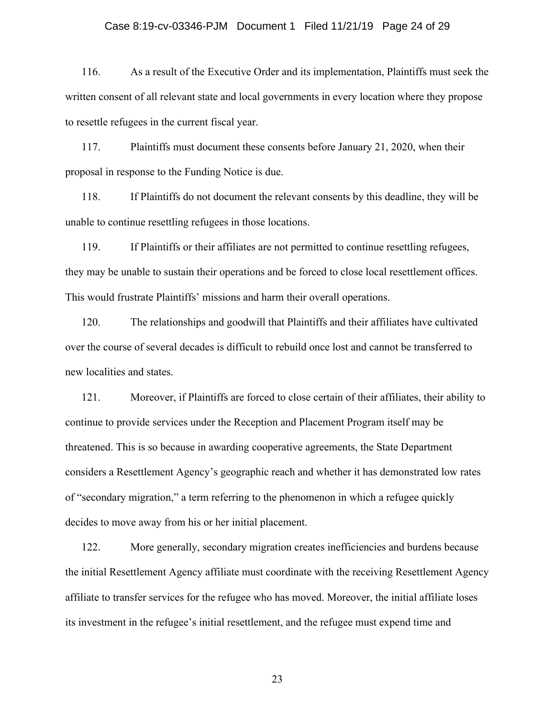### Case 8:19-cv-03346-PJM Document 1 Filed 11/21/19 Page 24 of 29

116. As a result of the Executive Order and its implementation, Plaintiffs must seek the written consent of all relevant state and local governments in every location where they propose to resettle refugees in the current fiscal year.

117. Plaintiffs must document these consents before January 21, 2020, when their proposal in response to the Funding Notice is due.

118. If Plaintiffs do not document the relevant consents by this deadline, they will be unable to continue resettling refugees in those locations.

119. If Plaintiffs or their affiliates are not permitted to continue resettling refugees, they may be unable to sustain their operations and be forced to close local resettlement offices. This would frustrate Plaintiffs' missions and harm their overall operations.

120. The relationships and goodwill that Plaintiffs and their affiliates have cultivated over the course of several decades is difficult to rebuild once lost and cannot be transferred to new localities and states.

121. Moreover, if Plaintiffs are forced to close certain of their affiliates, their ability to continue to provide services under the Reception and Placement Program itself may be threatened. This is so because in awarding cooperative agreements, the State Department considers a Resettlement Agency's geographic reach and whether it has demonstrated low rates of "secondary migration," a term referring to the phenomenon in which a refugee quickly decides to move away from his or her initial placement.

122. More generally, secondary migration creates inefficiencies and burdens because the initial Resettlement Agency affiliate must coordinate with the receiving Resettlement Agency affiliate to transfer services for the refugee who has moved. Moreover, the initial affiliate loses its investment in the refugee's initial resettlement, and the refugee must expend time and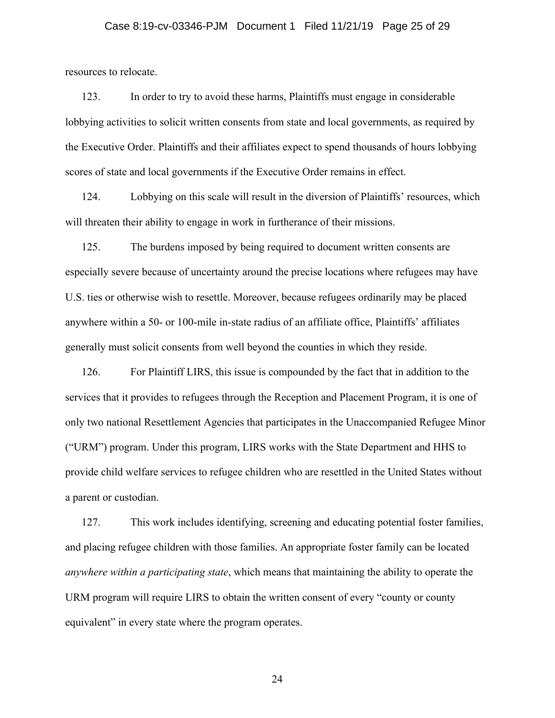### Case 8:19-cv-03346-PJM Document 1 Filed 11/21/19 Page 25 of 29

resources to relocate.

123. In order to try to avoid these harms, Plaintiffs must engage in considerable lobbying activities to solicit written consents from state and local governments, as required by the Executive Order. Plaintiffs and their affiliates expect to spend thousands of hours lobbying scores of state and local governments if the Executive Order remains in effect.

124. Lobbying on this scale will result in the diversion of Plaintiffs' resources, which will threaten their ability to engage in work in furtherance of their missions.

125. The burdens imposed by being required to document written consents are especially severe because of uncertainty around the precise locations where refugees may have U.S. ties or otherwise wish to resettle. Moreover, because refugees ordinarily may be placed anywhere within a 50- or 100-mile in-state radius of an affiliate office, Plaintiffs' affiliates generally must solicit consents from well beyond the counties in which they reside.

126. For Plaintiff LIRS, this issue is compounded by the fact that in addition to the services that it provides to refugees through the Reception and Placement Program, it is one of only two national Resettlement Agencies that participates in the Unaccompanied Refugee Minor ("URM") program. Under this program, LIRS works with the State Department and HHS to provide child welfare services to refugee children who are resettled in the United States without a parent or custodian.

127. This work includes identifying, screening and educating potential foster families, and placing refugee children with those families. An appropriate foster family can be located *anywhere within a participating state*, which means that maintaining the ability to operate the URM program will require LIRS to obtain the written consent of every "county or county equivalent" in every state where the program operates.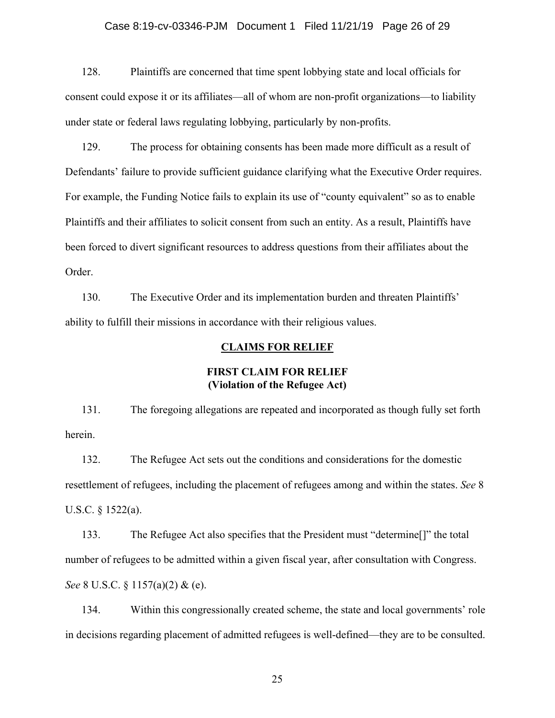### Case 8:19-cv-03346-PJM Document 1 Filed 11/21/19 Page 26 of 29

128. Plaintiffs are concerned that time spent lobbying state and local officials for consent could expose it or its affiliates—all of whom are non-profit organizations—to liability under state or federal laws regulating lobbying, particularly by non-profits.

129. The process for obtaining consents has been made more difficult as a result of Defendants' failure to provide sufficient guidance clarifying what the Executive Order requires. For example, the Funding Notice fails to explain its use of "county equivalent" so as to enable Plaintiffs and their affiliates to solicit consent from such an entity. As a result, Plaintiffs have been forced to divert significant resources to address questions from their affiliates about the Order.

130. The Executive Order and its implementation burden and threaten Plaintiffs' ability to fulfill their missions in accordance with their religious values.

### **CLAIMS FOR RELIEF**

### **FIRST CLAIM FOR RELIEF (Violation of the Refugee Act)**

131. The foregoing allegations are repeated and incorporated as though fully set forth herein.

132. The Refugee Act sets out the conditions and considerations for the domestic resettlement of refugees, including the placement of refugees among and within the states. *See* 8 U.S.C. § 1522(a).

133. The Refugee Act also specifies that the President must "determine[]" the total number of refugees to be admitted within a given fiscal year, after consultation with Congress. *See* 8 U.S.C. § 1157(a)(2) & (e).

134. Within this congressionally created scheme, the state and local governments' role in decisions regarding placement of admitted refugees is well-defined—they are to be consulted.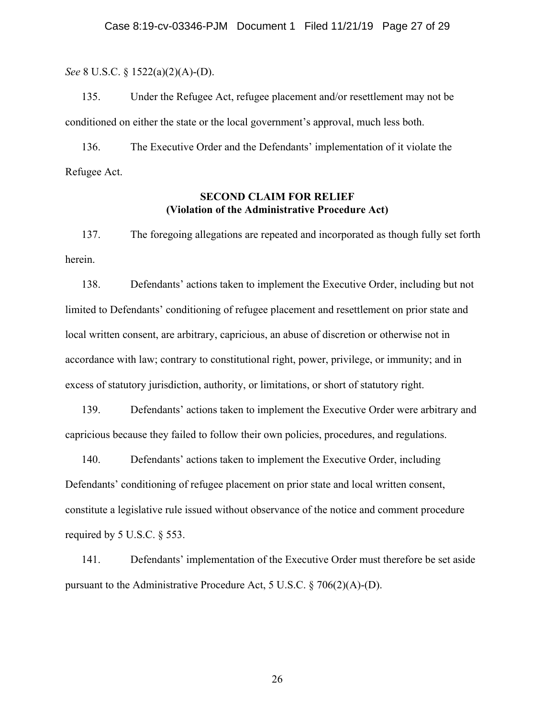*See* 8 U.S.C. § 1522(a)(2)(A)-(D).

135. Under the Refugee Act, refugee placement and/or resettlement may not be conditioned on either the state or the local government's approval, much less both.

136. The Executive Order and the Defendants' implementation of it violate the Refugee Act.

## **SECOND CLAIM FOR RELIEF (Violation of the Administrative Procedure Act)**

137. The foregoing allegations are repeated and incorporated as though fully set forth herein.

138. Defendants' actions taken to implement the Executive Order, including but not limited to Defendants' conditioning of refugee placement and resettlement on prior state and local written consent, are arbitrary, capricious, an abuse of discretion or otherwise not in accordance with law; contrary to constitutional right, power, privilege, or immunity; and in excess of statutory jurisdiction, authority, or limitations, or short of statutory right.

139. Defendants' actions taken to implement the Executive Order were arbitrary and capricious because they failed to follow their own policies, procedures, and regulations.

140. Defendants' actions taken to implement the Executive Order, including Defendants' conditioning of refugee placement on prior state and local written consent, constitute a legislative rule issued without observance of the notice and comment procedure required by 5 U.S.C. § 553.

141. Defendants' implementation of the Executive Order must therefore be set aside pursuant to the Administrative Procedure Act, 5 U.S.C. § 706(2)(A)-(D).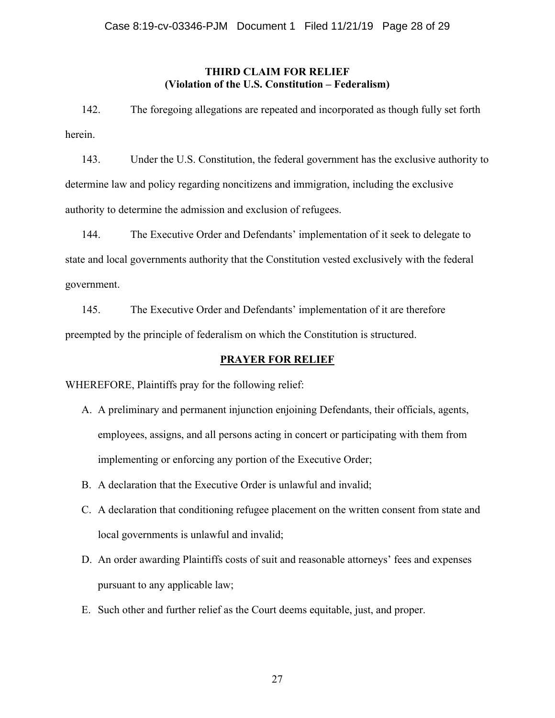## **THIRD CLAIM FOR RELIEF (Violation of the U.S. Constitution – Federalism)**

142. The foregoing allegations are repeated and incorporated as though fully set forth herein.

143. Under the U.S. Constitution, the federal government has the exclusive authority to determine law and policy regarding noncitizens and immigration, including the exclusive authority to determine the admission and exclusion of refugees.

144. The Executive Order and Defendants' implementation of it seek to delegate to state and local governments authority that the Constitution vested exclusively with the federal government.

145. The Executive Order and Defendants' implementation of it are therefore preempted by the principle of federalism on which the Constitution is structured.

# **PRAYER FOR RELIEF**

WHEREFORE, Plaintiffs pray for the following relief:

- A. A preliminary and permanent injunction enjoining Defendants, their officials, agents, employees, assigns, and all persons acting in concert or participating with them from implementing or enforcing any portion of the Executive Order;
- B. A declaration that the Executive Order is unlawful and invalid;
- C. A declaration that conditioning refugee placement on the written consent from state and local governments is unlawful and invalid;
- D. An order awarding Plaintiffs costs of suit and reasonable attorneys' fees and expenses pursuant to any applicable law;
- E. Such other and further relief as the Court deems equitable, just, and proper.